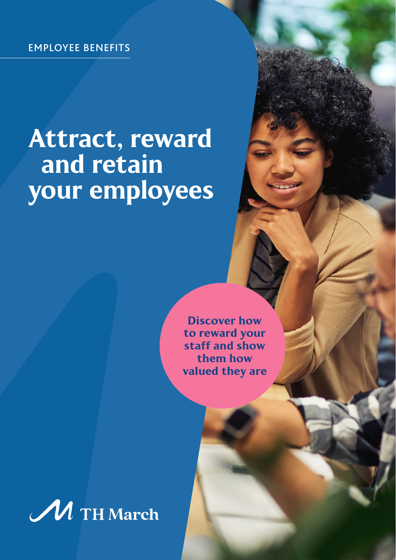# Attract, reward and retain your employees

Discover how to reward your staff and show them how valued they are